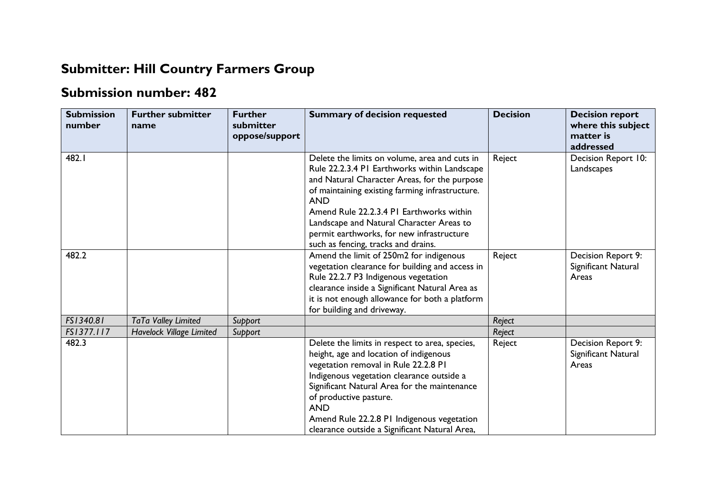## **Submitter: Hill Country Farmers Group**

## **Submission number: 482**

| <b>Submission</b><br>number | <b>Further submitter</b><br>name | <b>Further</b><br>submitter<br>oppose/support | <b>Summary of decision requested</b>                                                                                                                                                                                                                                                                                                                                                       | <b>Decision</b> | <b>Decision report</b><br>where this subject<br>matter is<br>addressed |
|-----------------------------|----------------------------------|-----------------------------------------------|--------------------------------------------------------------------------------------------------------------------------------------------------------------------------------------------------------------------------------------------------------------------------------------------------------------------------------------------------------------------------------------------|-----------------|------------------------------------------------------------------------|
| 482.I                       |                                  |                                               | Delete the limits on volume, area and cuts in<br>Rule 22.2.3.4 PI Earthworks within Landscape<br>and Natural Character Areas, for the purpose<br>of maintaining existing farming infrastructure.<br><b>AND</b><br>Amend Rule 22.2.3.4 PI Earthworks within<br>Landscape and Natural Character Areas to<br>permit earthworks, for new infrastructure<br>such as fencing, tracks and drains. | Reject          | Decision Report 10:<br>Landscapes                                      |
| 482.2                       |                                  |                                               | Amend the limit of 250m2 for indigenous<br>vegetation clearance for building and access in<br>Rule 22.2.7 P3 Indigenous vegetation<br>clearance inside a Significant Natural Area as<br>it is not enough allowance for both a platform<br>for building and driveway.                                                                                                                       | Reject          | Decision Report 9:<br>Significant Natural<br>Areas                     |
| FS1340.81                   | TaTa Valley Limited              | Support                                       |                                                                                                                                                                                                                                                                                                                                                                                            | Reject          |                                                                        |
| FS1377.117                  | <b>Havelock Village Limited</b>  | Support                                       |                                                                                                                                                                                                                                                                                                                                                                                            | Reject          |                                                                        |
| 482.3                       |                                  |                                               | Delete the limits in respect to area, species,<br>height, age and location of indigenous<br>vegetation removal in Rule 22.2.8 PI<br>Indigenous vegetation clearance outside a<br>Significant Natural Area for the maintenance<br>of productive pasture.<br><b>AND</b><br>Amend Rule 22.2.8 PI Indigenous vegetation<br>clearance outside a Significant Natural Area,                       | Reject          | Decision Report 9:<br>Significant Natural<br>Areas                     |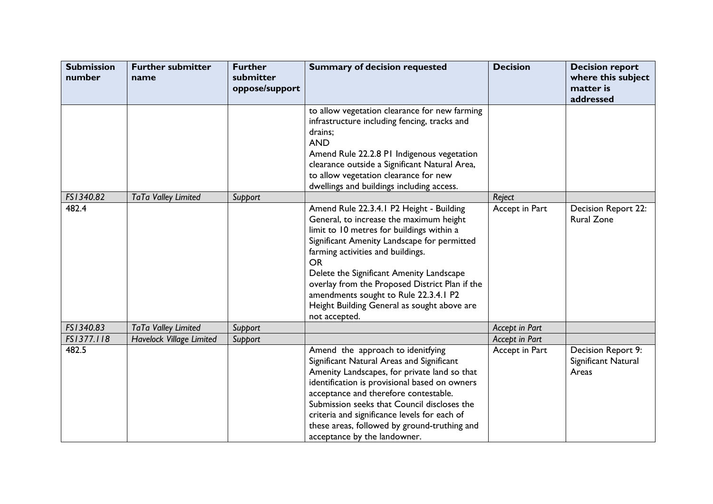| <b>Submission</b><br>number | <b>Further submitter</b><br>name | <b>Further</b><br>submitter<br>oppose/support | <b>Summary of decision requested</b>                                                                                                                                                                                                                                                                                                                                                                                                     | <b>Decision</b> | <b>Decision report</b><br>where this subject<br>matter is<br>addressed |
|-----------------------------|----------------------------------|-----------------------------------------------|------------------------------------------------------------------------------------------------------------------------------------------------------------------------------------------------------------------------------------------------------------------------------------------------------------------------------------------------------------------------------------------------------------------------------------------|-----------------|------------------------------------------------------------------------|
|                             |                                  |                                               | to allow vegetation clearance for new farming<br>infrastructure including fencing, tracks and<br>drains;<br><b>AND</b><br>Amend Rule 22.2.8 PI Indigenous vegetation<br>clearance outside a Significant Natural Area,<br>to allow vegetation clearance for new<br>dwellings and buildings including access.                                                                                                                              |                 |                                                                        |
| FS1340.82                   | TaTa Valley Limited              | Support                                       |                                                                                                                                                                                                                                                                                                                                                                                                                                          | Reject          |                                                                        |
| 482.4                       |                                  |                                               | Amend Rule 22.3.4.1 P2 Height - Building<br>General, to increase the maximum height<br>limit to 10 metres for buildings within a<br>Significant Amenity Landscape for permitted<br>farming activities and buildings.<br><b>OR</b><br>Delete the Significant Amenity Landscape<br>overlay from the Proposed District Plan if the<br>amendments sought to Rule 22.3.4.1 P2<br>Height Building General as sought above are<br>not accepted. | Accept in Part  | Decision Report 22:<br><b>Rural Zone</b>                               |
| FS1340.83                   | TaTa Valley Limited              | Support                                       |                                                                                                                                                                                                                                                                                                                                                                                                                                          | Accept in Part  |                                                                        |
| FS1377.118                  | Havelock Village Limited         | Support                                       |                                                                                                                                                                                                                                                                                                                                                                                                                                          | Accept in Part  |                                                                        |
| 482.5                       |                                  |                                               | Amend the approach to idenitfying<br>Significant Natural Areas and Significant<br>Amenity Landscapes, for private land so that<br>identification is provisional based on owners<br>acceptance and therefore contestable.<br>Submission seeks that Council discloses the<br>criteria and significance levels for each of<br>these areas, followed by ground-truthing and<br>acceptance by the landowner.                                  | Accept in Part  | Decision Report 9:<br>Significant Natural<br>Areas                     |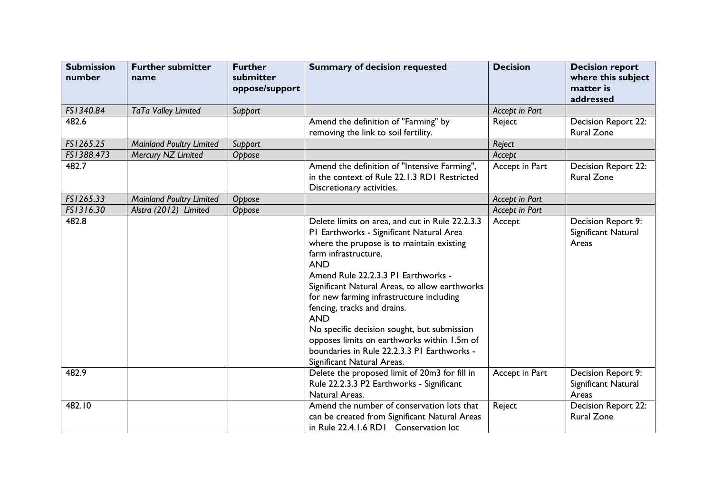| <b>Submission</b><br>number | <b>Further submitter</b><br>name | <b>Further</b><br>submitter<br>oppose/support | <b>Summary of decision requested</b>                                                                                                                                                                                                                                                                                                                                                                                                                                                                                                        | <b>Decision</b> | <b>Decision report</b><br>where this subject<br>matter is<br>addressed |
|-----------------------------|----------------------------------|-----------------------------------------------|---------------------------------------------------------------------------------------------------------------------------------------------------------------------------------------------------------------------------------------------------------------------------------------------------------------------------------------------------------------------------------------------------------------------------------------------------------------------------------------------------------------------------------------------|-----------------|------------------------------------------------------------------------|
| FS1340.84                   | TaTa Valley Limited              | Support                                       |                                                                                                                                                                                                                                                                                                                                                                                                                                                                                                                                             | Accept in Part  |                                                                        |
| 482.6                       |                                  |                                               | Amend the definition of "Farming" by<br>removing the link to soil fertility.                                                                                                                                                                                                                                                                                                                                                                                                                                                                | Reject          | Decision Report 22:<br><b>Rural Zone</b>                               |
| FS1265.25                   | <b>Mainland Poultry Limited</b>  | Support                                       |                                                                                                                                                                                                                                                                                                                                                                                                                                                                                                                                             | Reject          |                                                                        |
| FS1388.473                  | Mercury NZ Limited               | Oppose                                        |                                                                                                                                                                                                                                                                                                                                                                                                                                                                                                                                             | Accept          |                                                                        |
| 482.7                       |                                  |                                               | Amend the definition of "Intensive Farming",<br>in the context of Rule 22.1.3 RD1 Restricted<br>Discretionary activities.                                                                                                                                                                                                                                                                                                                                                                                                                   | Accept in Part  | Decision Report 22:<br><b>Rural Zone</b>                               |
| FS1265.33                   | <b>Mainland Poultry Limited</b>  | Oppose                                        |                                                                                                                                                                                                                                                                                                                                                                                                                                                                                                                                             | Accept in Part  |                                                                        |
| FS1316.30                   | Alstra (2012) Limited            | Oppose                                        |                                                                                                                                                                                                                                                                                                                                                                                                                                                                                                                                             | Accept in Part  |                                                                        |
| 482.8                       |                                  |                                               | Delete limits on area, and cut in Rule 22.2.3.3<br>PI Earthworks - Significant Natural Area<br>where the prupose is to maintain existing<br>farm infrastructure.<br><b>AND</b><br>Amend Rule 22.2.3.3 PI Earthworks -<br>Significant Natural Areas, to allow earthworks<br>for new farming infrastructure including<br>fencing, tracks and drains.<br><b>AND</b><br>No specific decision sought, but submission<br>opposes limits on earthworks within 1.5m of<br>boundaries in Rule 22.2.3.3 PI Earthworks -<br>Significant Natural Areas. | Accept          | Decision Report 9:<br>Significant Natural<br>Areas                     |
| 482.9                       |                                  |                                               | Delete the proposed limit of 20m3 for fill in<br>Rule 22.2.3.3 P2 Earthworks - Significant<br>Natural Areas.                                                                                                                                                                                                                                                                                                                                                                                                                                | Accept in Part  | Decision Report 9:<br>Significant Natural<br>Areas                     |
| 482.10                      |                                  |                                               | Amend the number of conservation lots that<br>can be created from Significant Natural Areas<br>in Rule 22.4.1.6 RDI Conservation lot                                                                                                                                                                                                                                                                                                                                                                                                        | Reject          | Decision Report 22:<br><b>Rural Zone</b>                               |